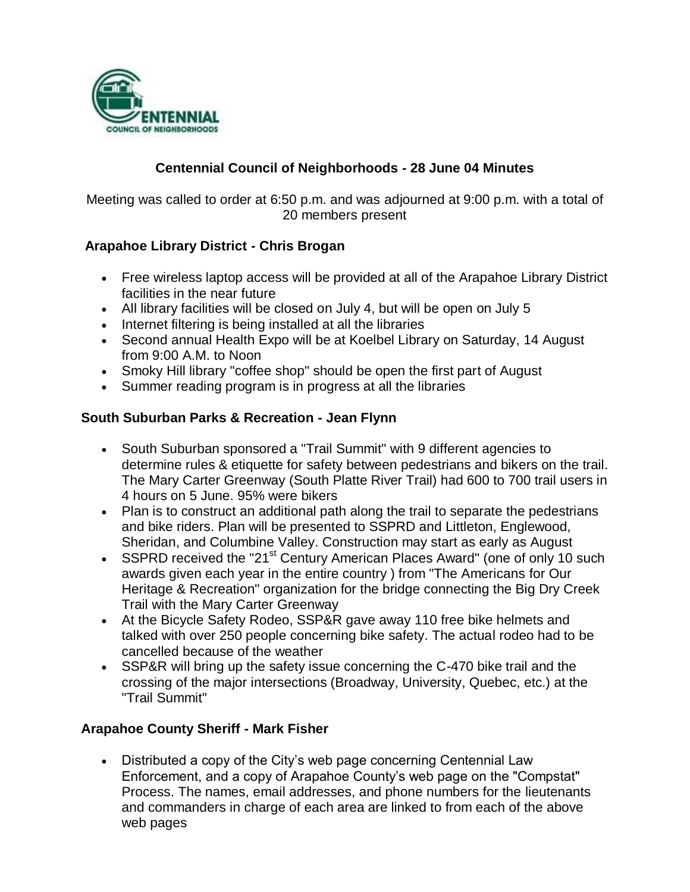

## **Centennial Council of Neighborhoods - 28 June 04 Minutes**

Meeting was called to order at 6:50 p.m. and was adjourned at 9:00 p.m. with a total of 20 members present

### **Arapahoe Library District - Chris Brogan**

- Free wireless laptop access will be provided at all of the Arapahoe Library District facilities in the near future
- All library facilities will be closed on July 4, but will be open on July 5
- Internet filtering is being installed at all the libraries
- Second annual Health Expo will be at Koelbel Library on Saturday, 14 August from 9:00 A.M. to Noon
- Smoky Hill library "coffee shop" should be open the first part of August
- Summer reading program is in progress at all the libraries

### **South Suburban Parks & Recreation - Jean Flynn**

- South Suburban sponsored a "Trail Summit" with 9 different agencies to determine rules & etiquette for safety between pedestrians and bikers on the trail. The Mary Carter Greenway (South Platte River Trail) had 600 to 700 trail users in 4 hours on 5 June. 95% were bikers
- Plan is to construct an additional path along the trail to separate the pedestrians and bike riders. Plan will be presented to SSPRD and Littleton, Englewood, Sheridan, and Columbine Valley. Construction may start as early as August
- SSPRD received the "21<sup>st</sup> Century American Places Award" (one of only 10 such awards given each year in the entire country ) from "The Americans for Our Heritage & Recreation" organization for the bridge connecting the Big Dry Creek Trail with the Mary Carter Greenway
- At the Bicycle Safety Rodeo, SSP&R gave away 110 free bike helmets and talked with over 250 people concerning bike safety. The actual rodeo had to be cancelled because of the weather
- SSP&R will bring up the safety issue concerning the C-470 bike trail and the crossing of the major intersections (Broadway, University, Quebec, etc.) at the "Trail Summit"

### **Arapahoe County Sheriff - Mark Fisher**

 Distributed a copy of the City's web page concerning Centennial Law Enforcement, and a copy of Arapahoe County's web page on the "Compstat" Process. The names, email addresses, and phone numbers for the lieutenants and commanders in charge of each area are linked to from each of the above web pages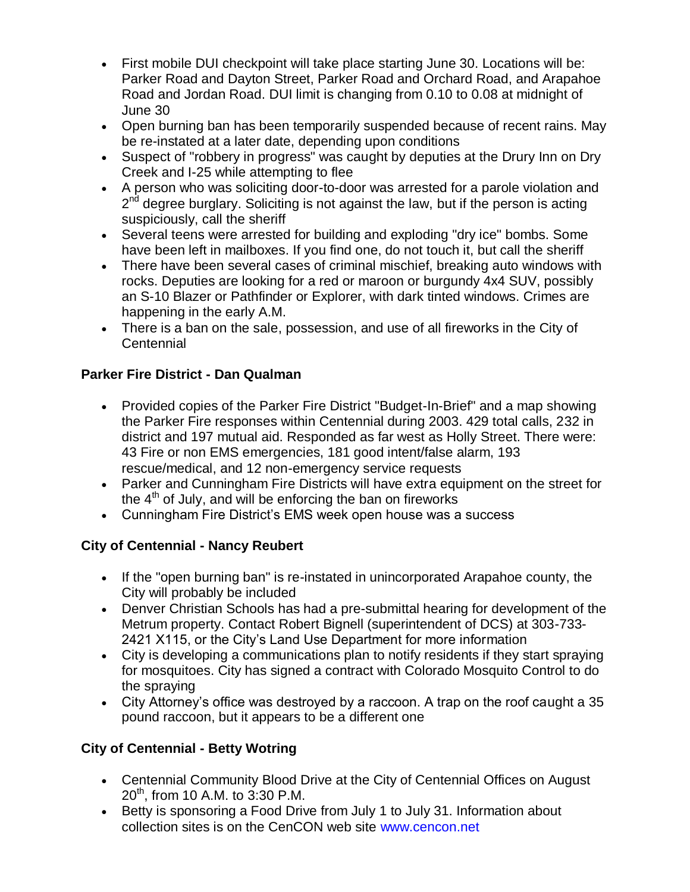- First mobile DUI checkpoint will take place starting June 30. Locations will be: Parker Road and Dayton Street, Parker Road and Orchard Road, and Arapahoe Road and Jordan Road. DUI limit is changing from 0.10 to 0.08 at midnight of June 30
- Open burning ban has been temporarily suspended because of recent rains. May be re-instated at a later date, depending upon conditions
- Suspect of "robbery in progress" was caught by deputies at the Drury Inn on Dry Creek and I-25 while attempting to flee
- A person who was soliciting door-to-door was arrested for a parole violation and 2<sup>nd</sup> degree burglary. Soliciting is not against the law, but if the person is acting suspiciously, call the sheriff
- Several teens were arrested for building and exploding "dry ice" bombs. Some have been left in mailboxes. If you find one, do not touch it, but call the sheriff
- There have been several cases of criminal mischief, breaking auto windows with rocks. Deputies are looking for a red or maroon or burgundy 4x4 SUV, possibly an S-10 Blazer or Pathfinder or Explorer, with dark tinted windows. Crimes are happening in the early A.M.
- There is a ban on the sale, possession, and use of all fireworks in the City of **Centennial**

# **Parker Fire District - Dan Qualman**

- Provided copies of the Parker Fire District "Budget-In-Brief" and a map showing the Parker Fire responses within Centennial during 2003. 429 total calls, 232 in district and 197 mutual aid. Responded as far west as Holly Street. There were: 43 Fire or non EMS emergencies, 181 good intent/false alarm, 193 rescue/medical, and 12 non-emergency service requests
- Parker and Cunningham Fire Districts will have extra equipment on the street for the  $4<sup>th</sup>$  of July, and will be enforcing the ban on fireworks
- Cunningham Fire District's EMS week open house was a success

# **City of Centennial - Nancy Reubert**

- If the "open burning ban" is re-instated in unincorporated Arapahoe county, the City will probably be included
- Denver Christian Schools has had a pre-submittal hearing for development of the Metrum property. Contact Robert Bignell (superintendent of DCS) at 303-733- 2421 X115, or the City's Land Use Department for more information
- City is developing a communications plan to notify residents if they start spraying for mosquitoes. City has signed a contract with Colorado Mosquito Control to do the spraying
- City Attorney's office was destroyed by a raccoon. A trap on the roof caught a 35 pound raccoon, but it appears to be a different one

# **City of Centennial - Betty Wotring**

- Centennial Community Blood Drive at the City of Centennial Offices on August  $20^{th}$ , from 10 A.M. to 3:30 P.M.
- Betty is sponsoring a Food Drive from July 1 to July 31. Information about collection sites is on the CenCON web site www.cencon.net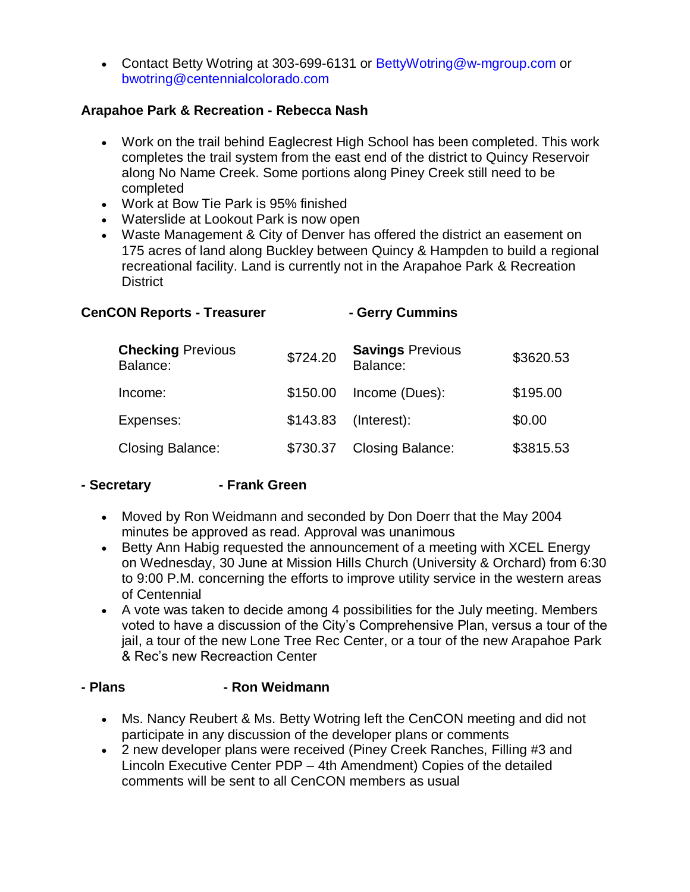• Contact Betty Wotring at 303-699-6131 or BettyWotring@w-mgroup.com or bwotring@centennialcolorado.com

## **Arapahoe Park & Recreation - Rebecca Nash**

- Work on the trail behind Eaglecrest High School has been completed. This work completes the trail system from the east end of the district to Quincy Reservoir along No Name Creek. Some portions along Piney Creek still need to be completed
- Work at Bow Tie Park is 95% finished
- Waterslide at Lookout Park is now open
- Waste Management & City of Denver has offered the district an easement on 175 acres of land along Buckley between Quincy & Hampden to build a regional recreational facility. Land is currently not in the Arapahoe Park & Recreation **District**

### **CenCON Reports - Treasurer - Gerry Cummins**

| <b>Checking Previous</b><br>Balance: | \$724.20 | <b>Savings Previous</b><br>Balance: | \$3620.53 |
|--------------------------------------|----------|-------------------------------------|-----------|
| Income:                              | \$150.00 | Income (Dues):                      | \$195.00  |
| Expenses:                            |          | \$143.83 (Interest):                | \$0.00    |
| <b>Closing Balance:</b>              | \$730.37 | <b>Closing Balance:</b>             | \$3815.53 |

### **- Secretary - Frank Green**

- Moved by Ron Weidmann and seconded by Don Doerr that the May 2004 minutes be approved as read. Approval was unanimous
- Betty Ann Habig requested the announcement of a meeting with XCEL Energy on Wednesday, 30 June at Mission Hills Church (University & Orchard) from 6:30 to 9:00 P.M. concerning the efforts to improve utility service in the western areas of Centennial
- A vote was taken to decide among 4 possibilities for the July meeting. Members voted to have a discussion of the City's Comprehensive Plan, versus a tour of the jail, a tour of the new Lone Tree Rec Center, or a tour of the new Arapahoe Park & Rec's new Recreaction Center

### **- Plans - Ron Weidmann**

- Ms. Nancy Reubert & Ms. Betty Wotring left the CenCON meeting and did not participate in any discussion of the developer plans or comments
- 2 new developer plans were received (Piney Creek Ranches, Filling #3 and Lincoln Executive Center PDP – 4th Amendment) Copies of the detailed comments will be sent to all CenCON members as usual